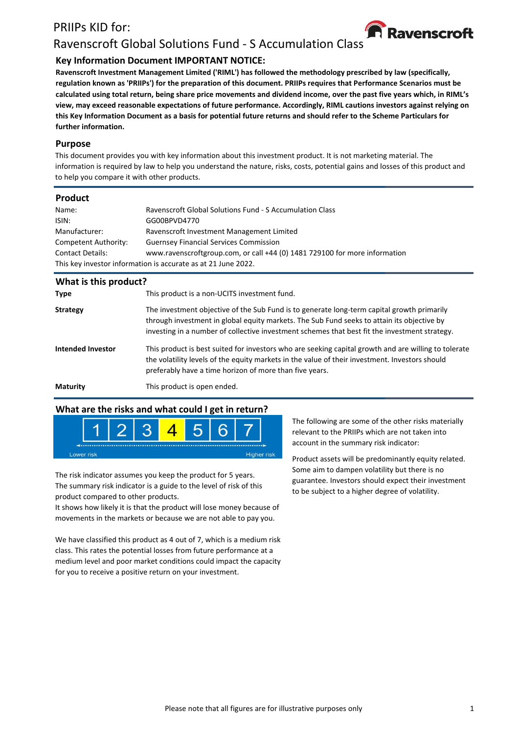# PRIIPs KID for:



# Ravenscroft Global Solutions Fund - S Accumulation Class

### **Key Information Document IMPORTANT NOTICE:**

**Ravenscroft Investment Management Limited ('RIML') has followed the methodology prescribed by law (specifically, regulation known as 'PRIIPs') for the preparation of this document. PRIIPs requires that Performance Scenarios must be calculated using total return, being share price movements and dividend income, over the past five years which, in RIML's view, may exceed reasonable expectations of future performance. Accordingly, RIML cautions investors against relying on this Key Information Document as a basis for potential future returns and should refer to the Scheme Particulars for further information.**

#### **Purpose**

This document provides you with key information about this investment product. It is not marketing material. The information is required by law to help you understand the nature, risks, costs, potential gains and losses of this product and to help you compare it with other products.

#### **Product**

| Name:                                                         | Ravenscroft Global Solutions Fund - S Accumulation Class                   |  |  |
|---------------------------------------------------------------|----------------------------------------------------------------------------|--|--|
| ISIN:                                                         | GG00BPVD4770                                                               |  |  |
| Manufacturer:                                                 | Ravenscroft Investment Management Limited                                  |  |  |
| Competent Authority:                                          | <b>Guernsey Financial Services Commission</b>                              |  |  |
| <b>Contact Details:</b>                                       | www.ravenscroftgroup.com, or call +44 (0) 1481 729100 for more information |  |  |
| This key investor information is accurate as at 21 June 2022. |                                                                            |  |  |
|                                                               |                                                                            |  |  |

| What is this product? |                                                                                                                                                                                                                                                                                           |
|-----------------------|-------------------------------------------------------------------------------------------------------------------------------------------------------------------------------------------------------------------------------------------------------------------------------------------|
| <b>Type</b>           | This product is a non-UCITS investment fund.                                                                                                                                                                                                                                              |
| <b>Strategy</b>       | The investment objective of the Sub Fund is to generate long-term capital growth primarily<br>through investment in global equity markets. The Sub Fund seeks to attain its objective by<br>investing in a number of collective investment schemes that best fit the investment strategy. |
| Intended Investor     | This product is best suited for investors who are seeking capital growth and are willing to tolerate<br>the volatility levels of the equity markets in the value of their investment. Investors should<br>preferably have a time horizon of more than five years.                         |
| <b>Maturity</b>       | This product is open ended.                                                                                                                                                                                                                                                               |

### **What are the risks and what could I get in return?**



The risk indicator assumes you keep the product for 5 years. The summary risk indicator is a guide to the level of risk of this product compared to other products.

It shows how likely it is that the product will lose money because of movements in the markets or because we are not able to pay you.

We have classified this product as 4 out of 7, which is a medium risk class. This rates the potential losses from future performance at a medium level and poor market conditions could impact the capacity for you to receive a positive return on your investment.

The following are some of the other risks materially relevant to the PRIIPs which are not taken into account in the summary risk indicator:

Product assets will be predominantly equity related. Some aim to dampen volatility but there is no guarantee. Investors should expect their investment to be subject to a higher degree of volatility.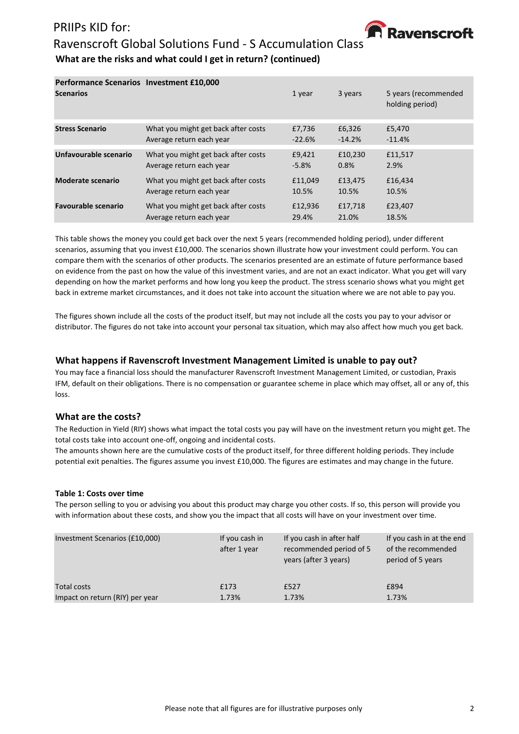# PRIIPs KID for:



# Ravenscroft Global Solutions Fund - S Accumulation Class **What are the risks and what could I get in return? (continued)**

| <b>Performance Scenarios Investment £10,000</b><br><b>Scenarios</b> |                                     | 1 year   | 3 years  | 5 years (recommended<br>holding period) |
|---------------------------------------------------------------------|-------------------------------------|----------|----------|-----------------------------------------|
| <b>Stress Scenario</b>                                              | What you might get back after costs | £7,736   | £6,326   | £5,470                                  |
|                                                                     | Average return each year            | $-22.6%$ | $-14.2%$ | $-11.4%$                                |
| Unfavourable scenario                                               | What you might get back after costs | £9,421   | £10,230  | £11,517                                 |
|                                                                     | Average return each year            | $-5.8%$  | 0.8%     | 2.9%                                    |
| Moderate scenario                                                   | What you might get back after costs | £11,049  | £13,475  | £16,434                                 |
|                                                                     | Average return each year            | 10.5%    | 10.5%    | 10.5%                                   |
| <b>Favourable scenario</b>                                          | What you might get back after costs | £12,936  | £17,718  | £23,407                                 |
|                                                                     | Average return each year            | 29.4%    | 21.0%    | 18.5%                                   |

This table shows the money you could get back over the next 5 years (recommended holding period), under different scenarios, assuming that you invest £10,000. The scenarios shown illustrate how your investment could perform. You can compare them with the scenarios of other products. The scenarios presented are an estimate of future performance based on evidence from the past on how the value of this investment varies, and are not an exact indicator. What you get will vary depending on how the market performs and how long you keep the product. The stress scenario shows what you might get back in extreme market circumstances, and it does not take into account the situation where we are not able to pay you.

The figures shown include all the costs of the product itself, but may not include all the costs you pay to your advisor or distributor. The figures do not take into account your personal tax situation, which may also affect how much you get back.

#### **What happens if Ravenscroft Investment Management Limited is unable to pay out?**

You may face a financial loss should the manufacturer Ravenscroft Investment Management Limited, or custodian, Praxis IFM, default on their obligations. There is no compensation or guarantee scheme in place which may offset, all or any of, this loss.

#### **What are the costs?**

The Reduction in Yield (RIY) shows what impact the total costs you pay will have on the investment return you might get. The total costs take into account one-off, ongoing and incidental costs.

The amounts shown here are the cumulative costs of the product itself, for three different holding periods. They include potential exit penalties. The figures assume you invest £10,000. The figures are estimates and may change in the future.

#### **Table 1: Costs over time**

The person selling to you or advising you about this product may charge you other costs. If so, this person will provide you with information about these costs, and show you the impact that all costs will have on your investment over time.

| Investment Scenarios (£10,000)  | If you cash in<br>after 1 year | If you cash in after half<br>recommended period of 5<br>years (after 3 years) | If you cash in at the end<br>of the recommended<br>period of 5 years |
|---------------------------------|--------------------------------|-------------------------------------------------------------------------------|----------------------------------------------------------------------|
| Total costs                     | £173                           | £527                                                                          | £894                                                                 |
| Impact on return (RIY) per year | 1.73%                          | 1.73%                                                                         | 1.73%                                                                |